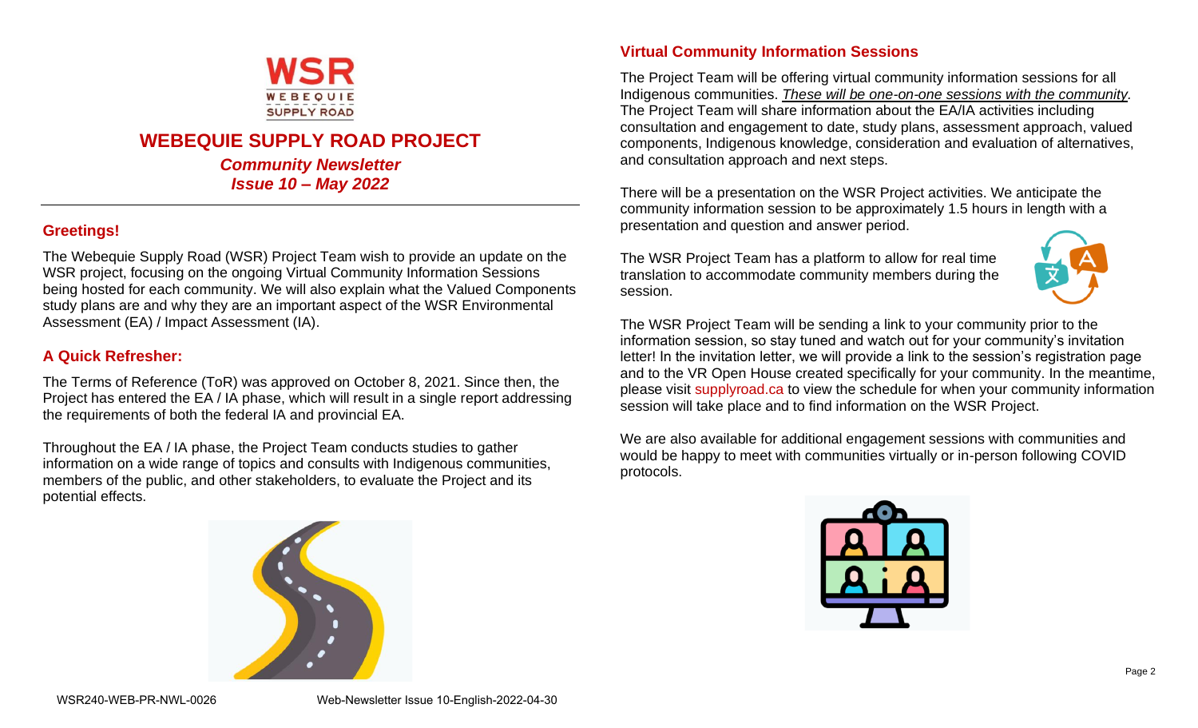

# **WEBEQUIE SUPPLY ROAD PROJECT**

*Community Newsletter Issue 10 – May 2022*

# **Greetings!**

The Webequie Supply Road (WSR) Project Team wish to provide an update on the WSR project, focusing on the ongoing Virtual Community Information Sessions being hosted for each community. We will also explain what the Valued Components study plans are and why they are an important aspect of the WSR Environmental Assessment (EA) / Impact Assessment (IA).

## **A Quick Refresher:**

The Terms of Reference (ToR) was approved on October 8, 2021. Since then, the Project has entered the EA / IA phase, which will result in a single report addressing the requirements of both the federal IA and provincial EA.

Throughout the EA / IA phase, the Project Team conducts studies to gather information on a wide range of topics and consults with Indigenous communities, members of the public, and other stakeholders, to evaluate the Project and its potential effects.



## **Virtual Community Information Sessions**

The Project Team will be offering virtual community information sessions for all Indigenous communities. *These will be one-on-one sessions with the community.* The Project Team will share information about the EA/IA activities including consultation and engagement to date, study plans, assessment approach, valued components, Indigenous knowledge, consideration and evaluation of alternatives, and consultation approach and next steps.

There will be a presentation on the WSR Project activities. We anticipate the community information session to be approximately 1.5 hours in length with a presentation and question and answer period.

The WSR Project Team has a platform to allow for real time translation to accommodate community members during the session.



The WSR Project Team will be sending a link to your community prior to the information session, so stay tuned and watch out for your community's invitation letter! In the invitation letter, we will provide a link to the session's registration page and to the VR Open House created specifically for your community. In the meantime, please visit supplyroad.ca to view the schedule for when your community information session will take place and to find information on the WSR Project.

We are also available for additional engagement sessions with communities and would be happy to meet with communities virtually or in-person following COVID protocols.